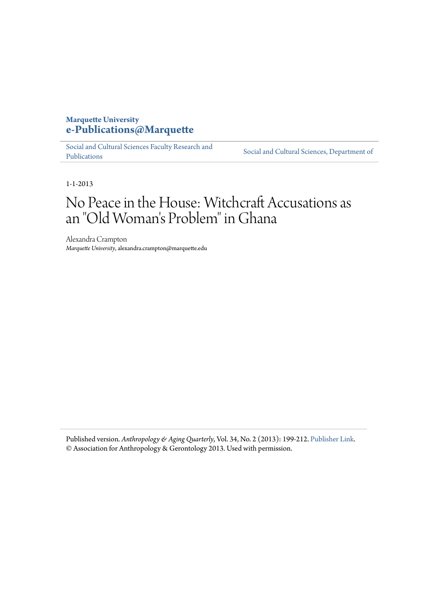# **Marquette University** e-Publications@Marquette

Social and Cultural Sciences Faculty Research and Publications

Social and Cultural Sciences, Department of

 $1 - 1 - 2013$ 

# No Peace in the House: Witchcraft Accusations as an "Old Woman's Problem" in Ghana

Alexandra Crampton Marquette University, alexandra.crampton@marquette.edu

Published version. Anthropology & Aging Quarterly, Vol. 34, No. 2 (2013): 199-212. Publisher Link. © Association for Anthropology & Gerontology 2013. Used with permission.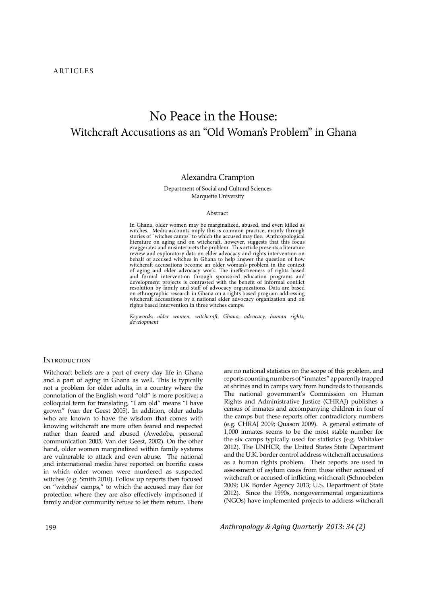# No Peace in the House: Witchcraft Accusations as an "Old Woman's Problem" in Ghana

### Alexandra Crampton

#### Department of Social and Cultural Sciences Marquette University

#### Abstract

In Ghana, older women may be marginalized, abused, and even killed as witches. Media accounts imply this is common practice, mainly through<br>stories of "witches camps" to which the accused may flee. Anthropological<br>literature on aging and on witchcraft, however, suggests that this focus<br>exagg review and exploratory data on elder advocacy and rights intervention on behalf of accused witches in Ghana to help answer the question of how witchcraft accusations become an older woman's problem in the context of aging and elder advocacy work. The ineffectiveness of rights based<br>and formal intervention through sponsored education programs and<br>development projects is contrasted with the benefit of informal conflict<br>resolution by witchcraft accusations by a national elder advocacy organization and on rights based intervention in three witches camps.

Keywords: older women, witchcraf, Ghana, advocacy, human rights, development

#### **INTRODUCTION**

Witchcraft beliefs are a part of every day life in Ghana and a part of aging in Ghana as well. This is typically not a problem for older adults, in a country where the connotation of the English word "old" is more positive; a colloquial term for translating, "I am old" means "I have grown" (van der Geest 2005). In addition, older adults who are known to have the wisdom that comes with knowing witchcraft are more often feared and respected rather than feared and abused (Awedoba, personal communication 2005, Van der Geest, 2002). On the other hand, older women marginalized within family systems are vulnerable to attack and even abuse. The national and international media have reported on horrific cases in which older women were murdered as suspected witches (e.g. Smith 2010). Follow up reports then focused on "witches' camps," to which the accused may flee for protection where they are also effectively imprisoned if family and/or community refuse to let them return. There are no national statistics on the scope of this problem, and reports counting numbers of "inmates" apparently trapped at shrines and in camps vary from hundreds to thousands. The national government's Commission on Human Rights and Administrative Justice (CHRAJ) publishes a census of inmates and accompanying children in four of the camps but these reports offer contradictory numbers (e.g. CHRAJ 2009; Quason 2009). A general estimate of 1,000 inmates seems to be the most stable number for the six camps typically used for statistics (e.g. Whitaker 2012). The UNHCR, the United States State Department and the U.K. border control address witchcraft accusations as a human rights problem. Their reports are used in assessment of asylum cases from those either accused of witchcraft or accused of inflicting witchcraft (Schnoebelen 2009; UK Border Agency 2013; U.S. Department of State 2012). Since the 1990s, nongovernmental organizations (NGOs) have implemented projects to address witchcraft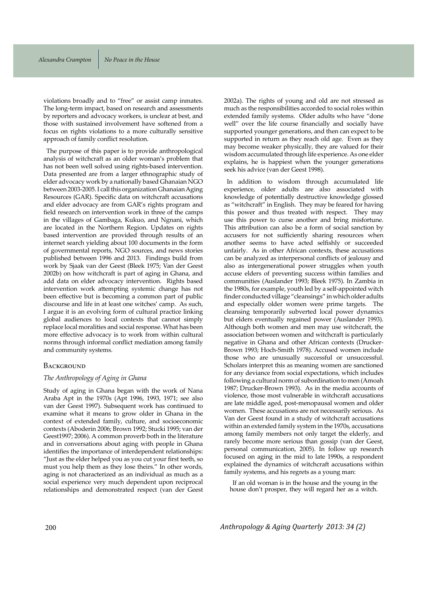violations broadly and to "free" or assist camp inmates. The long-term impact, based on research and assessments by reporters and advocacy workers, is unclear at best, and those with sustained involvement have softened from a focus on rights violations to a more culturally sensitive approach of family conflict resolution.

The purpose of this paper is to provide anthropological analysis of witchcraft as an older woman's problem that has not been well solved using rights-based intervention. Data presented are from a larger ethnographic study of elder advocacy work by a nationally based Ghanaian NGO between 2003-2005. I call this organization Ghanaian Aging Resources (GAR). Specific data on witchcraft accusations and elder advocacy are from GAR's rights program and field research on intervention work in three of the camps in the villages of Gambaga, Kukuo, and Ngnani, which are located in the Northern Region. Updates on rights based intervention are provided through results of an internet search yielding about 100 documents in the form of governmental reports, NGO sources, and news stories published between 1996 and 2013. Findings build from work by Sjaak van der Geest (Bleek 1975; Van der Geest 2002b) on how witchcraft is part of aging in Ghana, and add data on elder advocacy intervention. Rights based intervention work attempting systemic change has not been effective but is becoming a common part of public discourse and life in at least one witches' camp. As such, I argue it is an evolving form of cultural practice linking global audiences to local contexts that cannot simply replace local moralities and social response. What has been more effective advocacy is to work from within cultural norms through informal conflict mediation among family and community systems.

#### BACKGROUND

#### *The Anthropology of Aging in Ghana*

Study of aging in Ghana began with the work of Nana Araba Apt in the 1970s (Apt 1996, 1993, 1971; see also van der Geest 1997). Subsequent work has continued to examine what it means to grow older in Ghana in the context of extended family, culture, and socioeconomic contexts (Aboderin 2006; Brown 1992; Stucki 1995; van der Geest1997; 2006). A common proverb both in the literature and in conversations about aging with people in Ghana identifies the importance of interdependent relationships: "Just as the elder helped you as you cut your first teeth, so must you help them as they lose theirs." In other words, aging is not characterized as an individual as much as a social experience very much dependent upon reciprocal relationships and demonstrated respect (van der Geest 2002a). The rights of young and old are not stressed as much as the responsibilities accorded to social roles within extended family systems. Older adults who have "done well" over the life course financially and socially have supported younger generations, and then can expect to be supported in return as they reach old age. Even as they may become weaker physically, they are valued for their wisdom accumulated through life experience. As one elder explains, he is happiest when the younger generations seek his advice (van der Geest 1998).

In addition to wisdom through accumulated life experience, older adults are also associated with knowledge of potentially destructive knowledge glossed as "witchcraft" in English. They may be feared for having this power and thus treated with respect. They may use this power to curse another and bring misfortune. This attribution can also be a form of social sanction by accusers for not sufficiently sharing resources when another seems to have acted selfishly or succeeded unfairly. As in other African contexts, these accusations can be analyzed as interpersonal conflicts of jealousy and also as intergenerational power struggles when youth accuse elders of preventing success within families and communities (Auslander 1993; Bleek 1975). In Zambia in the 1980s, for example, youth led by a self-appointed witch finder conducted village "cleansings" in which older adults and especially older women were prime targets. The cleansing temporarily subverted local power dynamics but elders eventually regained power (Auslander 1993). Although both women and men may use witchcraft, the association between women and witchcraft is particularly negative in Ghana and other African contexts (Drucker-Brown 1993; Hoch-Smith 1978). Accused women include those who are unusually successful or unsuccessful. Scholars interpret this as meaning women are sanctioned for any deviance from social expectations, which includes following a cultural norm of subordination to men (Amoah 1987; Drucker-Brown 1993). As in the media accounts of violence, those most vulnerable in witchcraft accusations are late middle aged, post-menopausal women and older women. These accusations are not necessarily serious. As Van der Geest found in a study of witchcraft accusations within an extended family system in the 1970s, accusations among family members not only target the elderly, and rarely become more serious than gossip (van der Geest, personal communication, 2005). In follow up research focused on aging in the mid to late 1990s, a respondent explained the dynamics of witchcraft accusations within family systems, and his regrets as a young man:

If an old woman is in the house and the young in the house don't prosper, they will regard her as a witch.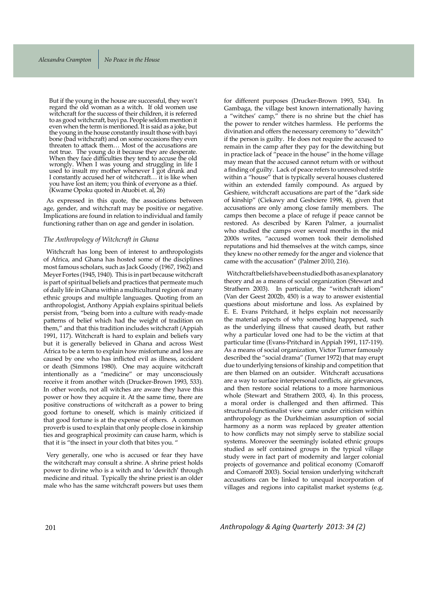But if the young in the house are successful, they won't regard the old woman as a witch. If old women use witchcraft for the success of their children, it is referred to as good witchcraft, bayi pa. People seldom mention it even when the term is mentioned. It is said as a joke, but the young in the house constantly insult those with bayi bone (bad witchcraft) and on some occasions they even threaten to attack them... Most of the accusations are not true. The young do it because they are desperate. When they face difficulties they tend to accuse the old wrongly. When I was young and struggling in life I used to insult my mother whenever I got drunk and I constantly accused her of witchcraft... it is like when you have lost an item; you think of everyone as a thief. (Kwame Opoku quoted in Atuobi et. al, 26)

As expressed in this quote, the associations between age, gender, and witchcraft may be positive or negative. Implications are found in relation to individual and family functioning rather than on age and gender in isolation.

#### *The Anthropology of Witchcraft in Ghana*

Witchcraft has long been of interest to anthropologists of Africa, and Ghana has hosted some of the disciplines most famous scholars, such as Jack Goody (1967, 1962) and Meyer Fortes (1945, 1940). This is in part because witchcraft is part of spiritual beliefs and practices that permeate much of daily life in Ghana within a multicultural region of many ethnic groups and multiple languages. Quoting from an anthropologist, Anthony Appiah explains spiritual beliefs persist from, "being born into a culture with ready-made patterns of belief which had the weight of tradition on them," and that this tradition includes witchcraft (Appiah 1991, 117). Witchcraft is hard to explain and beliefs vary but it is generally believed in Ghana and across West Africa to be a term to explain how misfortune and loss are caused by one who has inflicted evil as illness, accident or death (Simmons 1980). One may acquire witchcraft intentionally as a "medicine" or may unconsciously receive it from another witch (Drucker-Brown 1993, 533). In other words, not all witches are aware they have this power or how they acquire it. At the same time, there are positive constructions of witchcraft as a power to bring good fortune to oneself, which is mainly criticized if that good fortune is at the expense of others. A common proverb is used to explain that only people close in kinship ties and geographical proximity can cause harm, which is that it is "the insect in your cloth that bites you. "

Very generally, one who is accused or fear they have the witchcraft may consult a shrine. A shrine priest holds power to divine who is a witch and to 'dewitch' through medicine and ritual. Typically the shrine priest is an older male who has the same witchcraft powers but uses them for different purposes (Drucker-Brown 1993, 534). In Gambaga, the village best known internationally having a "witches' camp," there is no shrine but the chief has the power to render witches harmless. He performs the divination and offers the necessary ceremony to "dewitch" if the person is guilty. He does not require the accused to remain in the camp after they pay for the dewitching but in practice lack of "peace in the house" in the home village may mean that the accused cannot return with or without a finding of guilty. Lack of peace refers to unresolved strife within a "house" that is typically several houses clustered within an extended family compound. As argued by Geshiere, witchcraft accusations are part of the "dark side of kinship" (Ciekawy and Geshciere 1998, 4), given that accusations are only among close family members. The camps then become a place of refuge if peace cannot be restored. As described by Karen Palmer, a journalist who studied the camps over several months in the mid 2000s writes, "accused women took their demolished reputations and hid themselves at the witch camps, since they knew no other remedy for the anger and violence that came with the accusation" (Palmer 2010, 216).

Witchcraft beliefs have been studied both as an explanatory theory and as a means of social organization (Stewart and Strathern 2003). In particular, the "witchcraft idiom" (Van der Geest 2002b, 450) is a way to answer existential questions about misfortune and loss. As explained by E. E. Evans Pritchard, it helps explain not necessarily the material aspects of why something happened, such as the underlying illness that caused death, but rather why a particular loved one had to be the victim at that particular time (Evans-Pritchard in Appiah 1991, 117-119). As a means of social organization, Victor Turner famously described the "social drama" (Turner 1972) that may erupt due to underlying tensions of kinship and competition that are then blamed on an outsider. Witchcraft accusations are a way to surface interpersonal conflicts, air grievances, and then restore social relations to a more harmonious whole (Stewart and Strathern 2003, 4). In this process, a moral order is challenged and then affirmed. This structural-functionalist view came under criticism within anthropology as the Durkheimian assumption of social harmony as a norm was replaced by greater attention to how conflicts may not simply serve to stabilize social systems. Moreover the seemingly isolated ethnic groups studied as self contained groups in the typical village study were in fact part of modernity and larger colonial projects of governance and political economy (Comaroff and Comaroff 2003). Social tension underlying witchcraft accusations can be linked to unequal incorporation of villages and regions into capitalist market systems (e.g.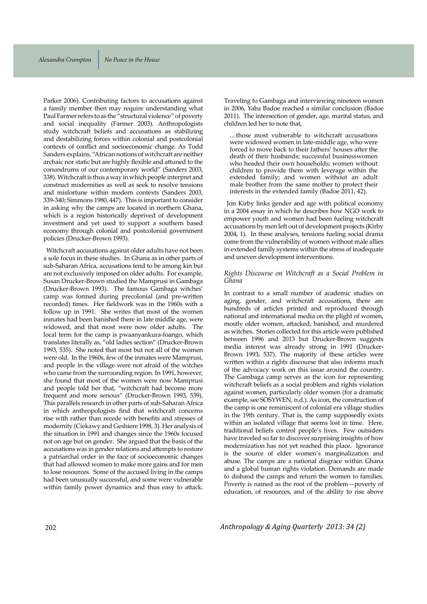Parker 2006). Contributing factors to accusations against a family member then may require understanding what Paul Farmer refers to as the "structural violence" of poverty and social inequality (Farmer 2003). Anthropologists study witchcraft beliefs and accusations as stabilizing and destabilizing forces within colonial and postcolonial contexts of conflict and socioeconomic change. As Todd Sanders explains, "African notions of witchcraft are neither archaic nor static but are highly flexible and attuned to the conundrums of our contemporary world" (Sanders 2003, 338). Witchcraft is thus a way in which people interpret and construct modernities as well as seek to resolve tensions and misfortune within modern contexts (Sanders 2003, 339-340; Simmons 1980, 447). This is important to consider in asking why the camps are located in northern Ghana, which is a region historically deprived of development investment and yet used to support a southern based economy through colonial and postcolonial government policies (Drucker-Brown 1993).

Witchcraft accusations against older adults have not been a sole focus in these studies. In Ghana as in other parts of sub-Saharan Africa, accusations tend to be among kin but are not exclusively imposed on older adults. For example, Susan Drucker-Brown studied the Mamprusi in Gambaga (Drucker-Brown 1993). The famous Gambaga witches' camp was formed during precolonial (and pre-written recorded) times. Her fieldwork was in the 1960s with a follow up in 1991. She writes that most of the women inmates had been banished there in late middle age, were widowed, and that most were now older adults. The local term for the camp is pwaanyankura-foango, which translates literally as, "old ladies section" (Drucker-Brown 1993, 535). She noted that most but not all of the women were old. In the 1960s, few of the inmates were Mamprusi, and people in the village were not afraid of the witches who came from the surrounding region. In 1991, however, she found that most of the women were now Mamprusi and people told her that, "witchcraft had become more frequent and more serious" (Drucker-Brown 1993, 539). This parallels research in other parts of sub-Saharan Africa in which anthropologists find that witchcraft concerns rise with rather than recede with benefits and stresses of modernity (Ciekawy and Geshiere 1998, 3). Her analysis of the situation in 1991 and changes since the 1960s focused not on age but on gender. She argued that the basis of the accusations was in gender relations and attempts to restore a patriarchal order in the face of socioeconomic changes that had allowed women to make more gains and for men to lose resources. Some of the accused living in the camps had been unusually successful, and some were vulnerable within family power dynamics and thus easy to attack.

Traveling to Gambaga and interviewing nineteen women in 2006, Yaba Badoe reached a similar conclusion (Badoe 2011). The intersection of gender, age, marital status, and children led her to note that,

...those most vulnerable to witchcraft accusations were widowed women in late-middle age, who were forced to move back to their fathers' houses after the death of their husbands; successful businesswomen who headed their own households; women without children to provide them with leverage within the extended family; and women without an adult male brother from the same mother to protect their interests in the extended family (Badoe 2011, 42).

Jon Kirby links gender and age with political economy in a 2004 essay in which he describes how NGO work to empower youth and women had been fueling witchcraft accusations by men left out of development projects (Kirby 2004, 1). In these analyses, tensions fueling social drama come from the vulnerability of women without male allies in extended family systems within the stress of inadequate and uneven development interventions.

#### *Rights Discourse on Witchcraft as a Social Problem in Ghana*

In contrast to a small number of academic studies on aging, gender, and witchcraft accusations, there are hundreds of articles printed and reproduced through national and international media on the plight of women, mostly older women, attacked, banished, and murdered as witches. Stories collected for this article were published between 1996 and 2013 but Drucker-Brown suggests media interest was already strong in 1991 (Drucker-Brown 1993, 537). The majority of these articles were written within a rights discourse that also informs much of the advocacy work on this issue around the country. The Gambaga camp serves as the icon for representing witchcraft beliefs as a social problem and rights violation against women, particularly older women (for a dramatic example, see SOSYWEN, n.d.). As icon, the construction of the camp is one reminiscent of colonial era village studies in the 19th century. That is, the camp supposedly exists within an isolated village that seems lost in time. Here, traditional beliefs control people's lives. Few outsiders have traveled so far to discover surprising insights of how modernization has not yet reached this place. Ignorance is the source of elder women's marginalization and abuse. The camps are a national disgrace within Ghana and a global human rights violation. Demands are made to disband the camps and return the women to families. Poverty is named as the root of the problem—poverty of education, of resources, and of the ability to rise above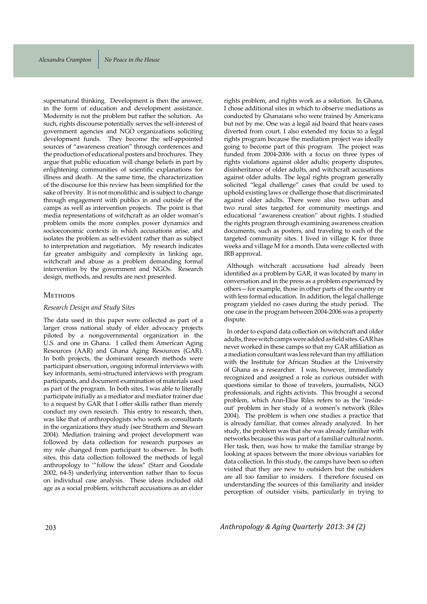supernatural thinking. Development is then the answer, in the form of education and development assistance. Modernity is not the problem but rather the solution. As such, rights discourse potentially serves the self-interest of government agencies and NGO organizations soliciting development funds. They become the self-appointed sources of "awareness creation" through conferences and the production of educational posters and brochures. They argue that public education will change beliefs in part by enlightening communities of scientific explanations for illness and death. At the same time, the characterization of the discourse for this review has been simplified for the sake of brevity. It is not monolithic and is subject to change through engagement with publics in and outside of the camps as well as intervention projects. The point is that media representations of witchcraft as an older woman's problem omits the more complex power dynamics and socioeconomic contexts in which accusations arise, and isolates the problem as self-evident rather than as subject to interpretation and negotiation. My research indicates far greater ambiguity and complexity in linking age, witchcraft and abuse as a problem demanding formal intervention by the government and NGOs. Research design, methods, and results are next presented.

#### Метнорѕ

#### *Research Design and Study Sites*

The data used in this paper were collected as part of a larger cross national study of elder advocacy projects piloted by a nongovernmental organization in the U.S. and one in Ghana. I called them American Aging Resources (AAR) and Ghana Aging Resources (GAR). In both projects, the dominant research methods were participant observation, ongoing informal interviews with key informants, semi-structured interviews with program participants, and document examination of materials used as part of the program. In both sites, I was able to literally participate initially as a mediator and mediator trainer due to a request by GAR that I offer skills rather than merely conduct my own research. This entry to research, then, was like that of anthropologists who work as consultants in the organizations they study (see Strathern and Stewart 2004). Mediation training and project development was followed by data collection for research purposes as my role changed from participant to observer. In both sites, this data collection followed the methods of legal anthropology to '"follow the ideas" (Starr and Goodale 2002, 64-5) underlying intervention rather than to focus on individual case analysis. These ideas included old age as a social problem, witchcraft accusations as an elder rights problem, and rights work as a solution. In Ghana, I chose additional sites in which to observe mediations as conducted by Ghanaians who were trained by Americans but not by me. One was a legal aid board that hears cases diverted from court. I also extended my focus to a legal rights program because the mediation project was ideally going to become part of this program. The project was funded from 2004-2006 with a focus on three types of rights violations against older adults; property disputes, disinheritance of older adults, and witchcraft accusations against older adults. The legal rights program generally solicited "legal challenge" cases that could be used to uphold existing laws or challenge those that discriminated against older adults. There were also two urban and two rural sites targeted for community meetings and educational "awareness creation" about rights. I studied the rights program through examining awareness creation documents, such as posters, and traveling to each of the targeted community sites. I lived in village K for three weeks and village M for a month. Data were collected with IRB approval.

Although witchcraft accusations had already been identified as a problem by GAR, it was located by many in conversation and in the press as a problem experienced by others—for example, those in other parts of the country or with less formal education. In addition, the legal challenge program yielded no cases during the study period. The one case in the program between 2004-2006 was a property dispute.

In order to expand data collection on witchcraft and older adults, three witch camps were added as field sites. GAR has never worked in these camps so that my GAR affiliation as a mediation consultant was less relevant than my affiliation with the Institute for African Studies at the University of Ghana as a researcher. I was, however, immediately recognized and assigned a role as curious outsider with questions similar to those of travelers, journalists, NGO professionals, and rights activists. This brought a second problem, which Ann-Elise Riles refers to as the 'insideout' problem in her study of a women's network (Riles 2004). The problem is when one studies a practice that is already familiar, that comes already analyzed. In her study, the problem was that she was already familiar with networks because this was part of a familiar cultural norm. Her task, then, was how to make the familiar strange by looking at spaces between the more obvious variables for data collection. In this study, the camps have been so often visited that they are new to outsiders but the outsiders are all too familiar to insiders. I therefore focused on understanding the sources of this familiarity and insider perception of outsider visits, particularly in trying to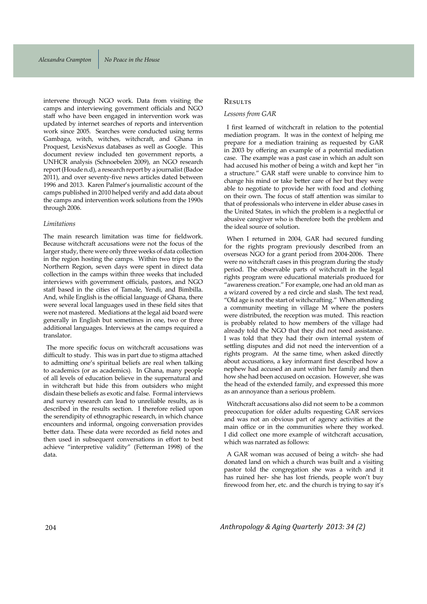intervene through NGO work. Data from visiting the camps and interviewing government officials and NGO staff who have been engaged in intervention work was updated by internet searches of reports and intervention work since 2005. Searches were conducted using terms Gambaga, witch, witches, witchcraft, and Ghana in Proquest, LexisNexus databases as well as Google. This document review included ten government reports, a UNHCR analysis (Schnoebelen 2009), an NGO research report (Houde n.d), a research report by a journalist (Badoe 2011), and over seventy-five news articles dated between 1996 and 2013. Karen Palmer's journalistic account of the camps published in 2010 helped verify and add data about the camps and intervention work solutions from the 1990s through 2006.

#### *Limitations*

The main research limitation was time for fieldwork. Because witchcraft accusations were not the focus of the larger study, there were only three weeks of data collection in the region hosting the camps. Within two trips to the Northern Region, seven days were spent in direct data collection in the camps within three weeks that included interviews with government officials, pastors, and NGO staff based in the cities of Tamale, Yendi, and Bimbilla. And, while English is the official language of Ghana, there were several local languages used in these field sites that were not mastered. Mediations at the legal aid board were generally in English but sometimes in one, two or three additional languages. Interviews at the camps required a translator.

The more specific focus on witchcraft accusations was difficult to study. This was in part due to stigma attached to admitting one's spiritual beliefs are real when talking to academics (or as academics). In Ghana, many people of all levels of education believe in the supernatural and in witchcraft but hide this from outsiders who might disdain these beliefs as exotic and false. Formal interviews and survey research can lead to unreliable results, as is described in the results section. I therefore relied upon the serendipity of ethnographic research, in which chance encounters and informal, ongoing conversation provides better data. These data were recorded as field notes and then used in subsequent conversations in effort to best achieve "interpretive validity" (Fetterman 1998) of the data.

## RESULTS

#### *Lessons from GAR*

I first learned of witchcraft in relation to the potential mediation program. It was in the context of helping me prepare for a mediation training as requested by GAR in 2003 by offering an example of a potential mediation case. The example was a past case in which an adult son had accused his mother of being a witch and kept her "in a structure." GAR staff were unable to convince him to change his mind or take better care of her but they were able to negotiate to provide her with food and clothing on their own. The focus of staff attention was similar to that of professionals who intervene in elder abuse cases in the United States, in which the problem is a neglectful or abusive caregiver who is therefore both the problem and the ideal source of solution.

When I returned in 2004, GAR had secured funding for the rights program previously described from an overseas NGO for a grant period from 2004-2006. There were no witchcraft cases in this program during the study period. The observable parts of witchcraft in the legal rights program were educational materials produced for "awareness creation." For example, one had an old man as a wizard covered by a red circle and slash. The text read, "Old age is not the start of witchcrafting." When attending a community meeting in village M where the posters were distributed, the reception was muted. This reaction is probably related to how members of the village had already told the NGO that they did not need assistance. I was told that they had their own internal system of settling disputes and did not need the intervention of a rights program. At the same time, when asked directly about accusations, a key informant first described how a nephew had accused an aunt within her family and then how she had been accused on occasion. However, she was the head of the extended family, and expressed this more as an annoyance than a serious problem.

Witchcraft accusations also did not seem to be a common preoccupation for older adults requesting GAR services and was not an obvious part of agency activities at the main office or in the communities where they worked. I did collect one more example of witchcraft accusation, which was narrated as follows:

A GAR woman was accused of being a witch- she had donated land on which a church was built and a visiting pastor told the congregation she was a witch and it has ruined her- she has lost friends, people won't buy firewood from her, etc. and the church is trying to say it's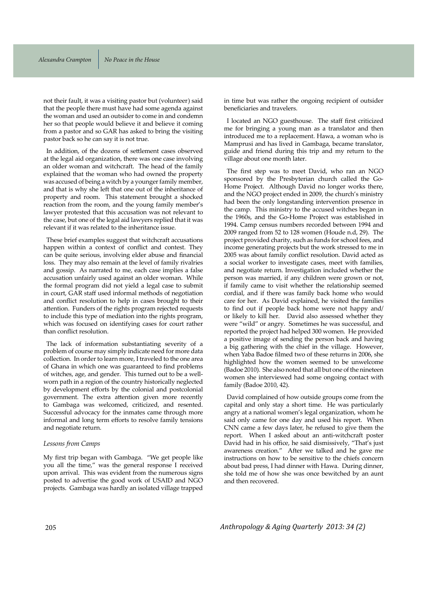not their fault, it was a visiting pastor but (volunteer) said that the people there must have had some agenda against the woman and used an outsider to come in and condemn her so that people would believe it and believe it coming from a pastor and so GAR has asked to bring the visiting pastor back so he can say it is not true.

In addition, of the dozens of settlement cases observed at the legal aid organization, there was one case involving an older woman and witchcraft. The head of the family explained that the woman who had owned the property was accused of being a witch by a younger family member, and that is why she left that one out of the inheritance of property and room. This statement brought a shocked reaction from the room, and the young family member's lawyer protested that this accusation was not relevant to the case, but one of the legal aid lawyers replied that it was relevant if it was related to the inheritance issue.

These brief examples suggest that witchcraft accusations happen within a context of conflict and contest. They can be quite serious, involving elder abuse and financial loss. They may also remain at the level of family rivalries and gossip. As narrated to me, each case implies a false accusation unfairly used against an older woman. While the formal program did not yield a legal case to submit in court, GAR staff used informal methods of negotiation and conflict resolution to help in cases brought to their attention. Funders of the rights program rejected requests to include this type of mediation into the rights program, which was focused on identifying cases for court rather than conflict resolution.

The lack of information substantiating severity of a problem of course may simply indicate need for more data collection. In order to learn more, I traveled to the one area of Ghana in which one was guaranteed to find problems of witches, age, and gender. This turned out to be a wellworn path in a region of the country historically neglected by development efforts by the colonial and postcolonial government. The extra attention given more recently to Gambaga was welcomed, criticized, and resented. Successful advocacy for the inmates came through more informal and long term efforts to resolve family tensions and negotiate return.

#### *Lessons from Camps*

My first trip began with Gambaga. "We get people like you all the time," was the general response I received upon arrival. This was evident from the numerous signs posted to advertise the good work of USAID and NGO projects. Gambaga was hardly an isolated village trapped in time but was rather the ongoing recipient of outsider beneficiaries and travelers.

I located an NGO guesthouse. The staff first criticized me for bringing a young man as a translator and then introduced me to a replacement. Hawa, a woman who is Mamprusi and has lived in Gambaga, became translator, guide and friend during this trip and my return to the village about one month later.

The first step was to meet David, who ran an NGO sponsored by the Presbyterian church called the Go-Home Project. Although David no longer works there, and the NGO project ended in 2009, the church's ministry had been the only longstanding intervention presence in the camp. This ministry to the accused witches began in the 1960s, and the Go-Home Project was established in 1994. Camp census numbers recorded between 1994 and 2009 ranged from 52 to 128 women (Houde n.d, 29). The project provided charity, such as funds for school fees, and income generating projects but the work stressed to me in 2005 was about family conflict resolution. David acted as a social worker to investigate cases, meet with families, and negotiate return. Investigation included whether the person was married, if any children were grown or not, if family came to visit whether the relationship seemed cordial, and if there was family back home who would care for her. As David explained, he visited the families to find out if people back home were not happy and/ or likely to kill her. David also assessed whether they were "wild" or angry. Sometimes he was successful, and reported the project had helped 300 women. He provided a positive image of sending the person back and having a big gathering with the chief in the village. However, when Yaba Badoe filmed two of these returns in 2006, she highlighted how the women seemed to be unwelcome (Badoe 2010). She also noted that all but one of the nineteen women she interviewed had some ongoing contact with family (Badoe 2010, 42).

David complained of how outside groups come from the capital and only stay a short time. He was particularly angry at a national women's legal organization, whom he said only came for one day and used his report. When CNN came a few days later, he refused to give them the report. When I asked about an anti-witchcraft poster David had in his office, he said dismissively, "That's just awareness creation." After we talked and he gave me instructions on how to be sensitive to the chiefs concern about bad press, I had dinner with Hawa. During dinner, she told me of how she was once bewitched by an aunt and then recovered.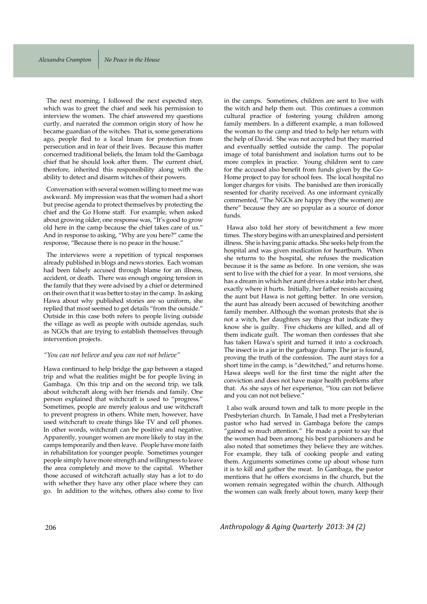The next morning, I followed the next expected step, which was to greet the chief and seek his permission to interview the women. The chief answered my questions curtly, and narrated the common origin story of how he became guardian of the witches. That is, some generations ago, people fled to a local Imam for protection from persecution and in fear of their lives. Because this matter concerned traditional beliefs, the Imam told the Gambaga chief that he should look after them. The current chief, therefore, inherited this responsibility along with the ability to detect and disarm witches of their powers.

Conversation with several women willing to meet me was awkward. My impression was that the women had a short but precise agenda to protect themselves by protecting the chief and the Go Home staff. For example, when asked about growing older, one response was, "It's good to grow old here in the camp because the chief takes care of us." And in response to asking, "Why are you here?" came the response, "Because there is no peace in the house."

The interviews were a repetition of typical responses already published in blogs and news stories. Each woman had been falsely accused through blame for an illness, accident, or death. There was enough ongoing tension in the family that they were advised by a chief or determined on their own that it was better to stay in the camp. In asking Hawa about why published stories are so uniform, she replied that most seemed to get details "from the outside." Outside in this case both refers to people living outside the village as well as people with outside agendas, such as NGOs that are trying to establish themselves through intervention projects.

#### *"You can not believe and you can not not believe"*

Hawa continued to help bridge the gap between a staged trip and what the realities might be for people living in Gambaga. On this trip and on the second trip, we talk about witchcraft along with her friends and family. One person explained that witchcraft is used to "progress." Sometimes, people are merely jealous and use witchcraft to prevent progress in others. White men, however, have used witchcraft to create things like TV and cell phones. In other words, witchcraft can be positive and negative. Apparently, younger women are more likely to stay in the camps temporarily and then leave. People have more faith in rehabilitation for younger people. Sometimes younger people simply have more strength and willingness to leave the area completely and move to the capital. Whether those accused of witchcraft actually stay has a lot to do with whether they have any other place where they can go. In addition to the witches, others also come to live in the camps. Sometimes, children are sent to live with the witch and help them out. This continues a common cultural practice of fostering young children among family members. In a different example, a man followed the woman to the camp and tried to help her return with the help of David. She was not accepted but they married and eventually settled outside the camp. The popular image of total banishment and isolation turns out to be more complex in practice. Young children sent to care for the accused also benefit from funds given by the Go-Home project to pay for school fees. The local hospital no longer charges for visits. The banished are then ironically resented for charity received. As one informant cynically commented, "The NGOs are happy they (the women) are there" because they are so popular as a source of donor funds.

Hawa also told her story of bewitchment a few more times. The story begins with an unexplained and persistent illness. She is having panic attacks. She seeks help from the hospital and was given medication for heartburn. When she returns to the hospital, she refuses the medication because it is the same as before. In one version, she was sent to live with the chief for a year. In most versions, she has a dream in which her aunt drives a stake into her chest, exactly where it hurts. Initially, her father resists accusing the aunt but Hawa is not getting better. In one version, the aunt has already been accused of bewitching another family member. Although the woman protests that she is not a witch, her daughters say things that indicate they know she is guilty. Five chickens are killed, and all of them indicate guilt. The woman then confesses that she has taken Hawa's spirit and turned it into a cockroach. The insect is in a jar in the garbage dump. The jar is found, proving the truth of the confession. The aunt stays for a short time in the camp, is "dewitched," and returns home. Hawa sleeps well for the first time the night after the conviction and does not have major health problems after that. As she says of her experience, "You can not believe and you can not not believe."

I also walk around town and talk to more people in the Presbyterian church. In Tamale, I had met a Presbyterian pastor who had served in Gambaga before the camps "gained so much attention." He made a point to say that the women had been among his best parishioners and he also noted that sometimes they believe they are witches. For example, they talk of cooking people and eating them. Arguments sometimes come up about whose turn it is to kill and gather the meat. In Gambaga, the pastor mentions that he offers exorcisms in the church, but the women remain segregated within the church. Although the women can walk freely about town, many keep their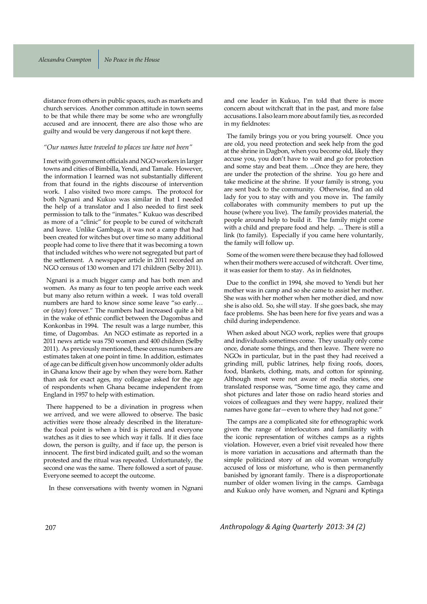distance from others in public spaces, such as markets and church services. Another common attitude in town seems to be that while there may be some who are wrongfully accused and are innocent, there are also those who are guilty and would be very dangerous if not kept there.

#### *"Our names have traveled to places we have not been"*

I met with government officials and NGO workers in larger towns and cities of Bimbilla, Yendi, and Tamale. However, the information I learned was not substantially different from that found in the rights discourse of intervention work. I also visited two more camps. The protocol for both Ngnani and Kukuo was similar in that I needed the help of a translator and I also needed to first seek permission to talk to the "inmates." Kukuo was described as more of a "clinic" for people to be cured of witchcraft and leave. Unlike Gambaga, it was not a camp that had been created for witches but over time so many additional people had come to live there that it was becoming a town that included witches who were not segregated but part of the settlement. A newspaper article in 2011 recorded an NGO census of 130 women and 171 children (Selby 2011).

Ngnani is a much bigger camp and has both men and women. As many as four to ten people arrive each week but many also return within a week. I was told overall numbers are hard to know since some leave "so early... or (stay) forever." The numbers had increased quite a bit in the wake of ethnic conflict between the Dagombas and Konkonbas in 1994. The result was a large number, this time, of Dagombas. An NGO estimate as reported in a 2011 news article was 750 women and 400 children (Selby 2011). As previously mentioned, these census numbers are estimates taken at one point in time. In addition, estimates of age can be difficult given how uncommonly older adults in Ghana know their age by when they were born. Rather than ask for exact ages, my colleague asked for the age of respondents when Ghana became independent from England in 1957 to help with estimation.

There happened to be a divination in progress when we arrived, and we were allowed to observe. The basic activities were those already described in the literaturethe focal point is when a bird is pierced and everyone watches as it dies to see which way it falls. If it dies face down, the person is guilty, and if face up, the person is innocent. The first bird indicated guilt, and so the woman protested and the ritual was repeated. Unfortunately, the second one was the same. There followed a sort of pause. Everyone seemed to accept the outcome.

In these conversations with twenty women in Ngnani

and one leader in Kukuo, I'm told that there is more concern about witchcraft that in the past, and more false accusations. I also learn more about family ties, as recorded in my fieldnotes:

The family brings you or you bring yourself. Once you are old, you need protection and seek help from the god at the shrine in Dagbon, when you become old, likely they accuse you, you don't have to wait and go for protection and some stay and beat them. ...Once they are here, they are under the protection of the shrine. You go here and take medicine at the shrine. If your family is strong, you are sent back to the community. Otherwise, find an old lady for you to stay with and you move in. The family collaborates with community members to put up the house (where you live). The family provides material, the people around help to build it. The family might come with a child and prepare food and help. ... There is still a link (to family). Especially if you came here voluntarily, the family will follow up.

Some of the women were there because they had followed when their mothers were accused of witchcraft. Over time, it was easier for them to stay. As in fieldnotes,

Due to the conflict in 1994, she moved to Yendi but her mother was in camp and so she came to assist her mother. She was with her mother when her mother died, and now she is also old. So, she will stay. If she goes back, she may face problems. She has been here for five years and was a child during independence.

When asked about NGO work, replies were that groups and individuals sometimes come. They usually only come once, donate some things, and then leave. There were no NGOs in particular, but in the past they had received a grinding mill, public latrines, help fixing roofs, doors, food, blankets, clothing, mats, and cotton for spinning. Although most were not aware of media stories, one translated response was, "Some time ago, they came and shot pictures and later those on radio heard stories and voices of colleagues and they were happy, realized their names have gone far—even to where they had not gone."

The camps are a complicated site for ethnographic work given the range of interlocutors and familiarity with the iconic representation of witches camps as a rights violation. However, even a brief visit revealed how there is more variation in accusations and aftermath than the simple politicized story of an old woman wrongfully accused of loss or misfortune, who is then permanently banished by ignorant family. There is a disproportionate number of older women living in the camps. Gambaga and Kukuo only have women, and Ngnani and Kptinga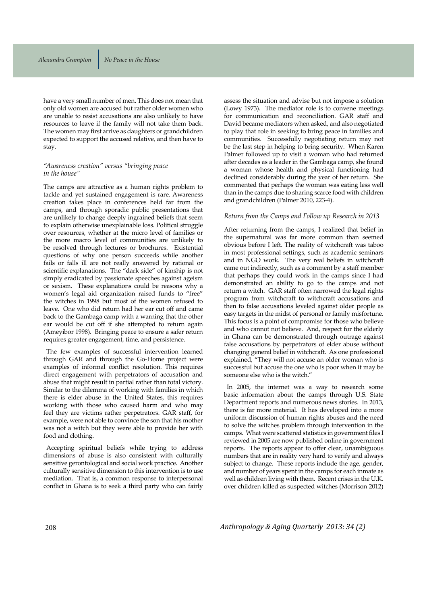have a very small number of men. This does not mean that only old women are accused but rather older women who are unable to resist accusations are also unlikely to have resources to leave if the family will not take them back. The women may first arrive as daughters or grandchildren expected to support the accused relative, and then have to stay.

#### *"Awareness creation" versus "bringing peace in the house"*

The camps are attractive as a human rights problem to tackle and yet sustained engagement is rare. Awareness creation takes place in conferences held far from the camps, and through sporadic public presentations that are unlikely to change deeply ingrained beliefs that seem to explain otherwise unexplainable loss. Political struggle over resources, whether at the micro level of families or the more macro level of communities are unlikely to be resolved through lectures or brochures. Existential questions of why one person succeeds while another fails or falls ill are not really answered by rational or scientific explanations. The "dark side" of kinship is not simply eradicated by passionate speeches against ageism or sexism. These explanations could be reasons why a women's legal aid organization raised funds to "free" the witches in 1998 but most of the women refused to leave. One who did return had her ear cut off and came back to the Gambaga camp with a warning that the other ear would be cut off if she attempted to return again (Ameyibor 1998). Bringing peace to ensure a safer return requires greater engagement, time, and persistence.

The few examples of successful intervention learned through GAR and through the Go-Home project were examples of informal conflict resolution. This requires direct engagement with perpetrators of accusation and abuse that might result in partial rather than total victory. Similar to the dilemma of working with families in which there is elder abuse in the United States, this requires working with those who caused harm and who may feel they are victims rather perpetrators. GAR staff, for example, were not able to convince the son that his mother was not a witch but they were able to provide her with food and clothing.

Accepting spiritual beliefs while trying to address dimensions of abuse is also consistent with culturally sensitive gerontological and social work practice. Another culturally sensitive dimension to this intervention is to use mediation. That is, a common response to interpersonal conflict in Ghana is to seek a third party who can fairly assess the situation and advise but not impose a solution (Lowy 1973). The mediator role is to convene meetings for communication and reconciliation. GAR staff and David became mediators when asked, and also negotiated to play that role in seeking to bring peace in families and communities. Successfully negotiating return may not be the last step in helping to bring security. When Karen Palmer followed up to visit a woman who had returned after decades as a leader in the Gambaga camp, she found a woman whose health and physical functioning had declined considerably during the year of her return. She commented that perhaps the woman was eating less well than in the camps due to sharing scarce food with children and grandchildren (Palmer 2010, 223-4).

#### *Return from the Camps and Follow up Research in 2013*

After returning from the camps, I realized that belief in the supernatural was far more common than seemed obvious before I left. The reality of witchcraft was taboo in most professional settings, such as academic seminars and in NGO work. The very real beliefs in witchcraft came out indirectly, such as a comment by a staff member that perhaps they could work in the camps since I had demonstrated an ability to go to the camps and not return a witch. GAR staff often narrowed the legal rights program from witchcraft to witchcraft accusations and then to false accusations leveled against older people as easy targets in the midst of personal or family misfortune. This focus is a point of compromise for those who believe and who cannot not believe. And, respect for the elderly in Ghana can be demonstrated through outrage against false accusations by perpetrators of elder abuse without changing general belief in witchcraft. As one professional explained, "They will not accuse an older woman who is successful but accuse the one who is poor when it may be someone else who is the witch."

In 2005, the internet was a way to research some basic information about the camps through U.S. State Department reports and numerous news stories. In 2013, there is far more material. It has developed into a more uniform discussion of human rights abuses and the need to solve the witches problem through intervention in the camps. What were scattered statistics in government files I reviewed in 2005 are now published online in government reports. The reports appear to offer clear, unambiguous numbers that are in reality very hard to verify and always subject to change. These reports include the age, gender, and number of years spent in the camps for each inmate as well as children living with them. Recent crises in the U.K. over children killed as suspected witches (Morrison 2012)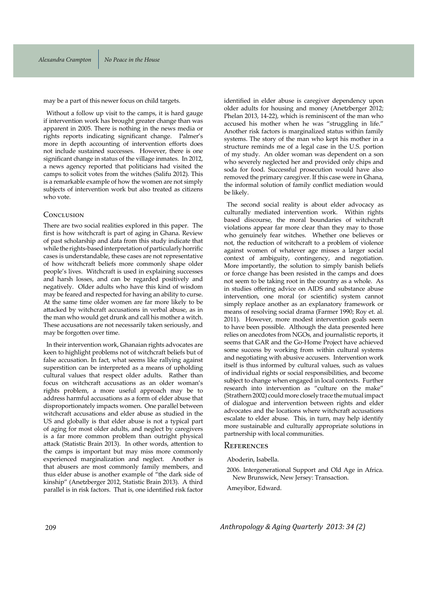may be a part of this newer focus on child targets.

Without a follow up visit to the camps, it is hard gauge if intervention work has brought greater change than was apparent in 2005. There is nothing in the news media or rights reports indicating significant change. Palmer's more in depth accounting of intervention efforts does not include sustained successes. However, there is one significant change in status of the village inmates. In 2012, a news agency reported that politicians had visited the camps to solicit votes from the witches (Salifu 2012). This is a remarkable example of how the women are not simply subjects of intervention work but also treated as citizens who vote.

#### CONCLUSION

There are two social realities explored in this paper. The first is how witchcraft is part of aging in Ghana. Review of past scholarship and data from this study indicate that while the rights-based interpretation of particularly horrific cases is understandable, these cases are not representative of how witchcraft beliefs more commonly shape older people's lives. Witchcraft is used in explaining successes and harsh losses, and can be regarded positively and negatively. Older adults who have this kind of wisdom may be feared and respected for having an ability to curse. At the same time older women are far more likely to be attacked by witchcraft accusations in verbal abuse, as in the man who would get drunk and call his mother a witch. These accusations are not necessarily taken seriously, and may be forgotten over time.

In their intervention work, Ghanaian rights advocates are keen to highlight problems not of witchcraft beliefs but of false accusation. In fact, what seems like rallying against superstition can be interpreted as a means of upholding cultural values that respect older adults. Rather than focus on witchcraft accusations as an older woman's rights problem, a more useful approach may be to address harmful accusations as a form of elder abuse that disproportionately impacts women. One parallel between witchcraft accusations and elder abuse as studied in the US and globally is that elder abuse is not a typical part of aging for most older adults, and neglect by caregivers is a far more common problem than outright physical attack (Statistic Brain 2013). In other words, attention to the camps is important but may miss more commonly experienced marginalization and neglect. Another is that abusers are most commonly family members, and thus elder abuse is another example of "the dark side of kinship" (Anetzberger 2012, Statistic Brain 2013). A third parallel is in risk factors. That is, one identified risk factor identified in elder abuse is caregiver dependency upon older adults for housing and money (Anetzberger 2012; Phelan 2013, 14-22), which is reminiscent of the man who accused his mother when he was "struggling in life." Another risk factors is marginalized status within family systems. The story of the man who kept his mother in a structure reminds me of a legal case in the U.S. portion of my study. An older woman was dependent on a son who severely neglected her and provided only chips and soda for food. Successful prosecution would have also removed the primary caregiver. If this case were in Ghana, the informal solution of family conflict mediation would be likely.

The second social reality is about elder advocacy as culturally mediated intervention work. Within rights based discourse, the moral boundaries of witchcraft violations appear far more clear than they may to those who genuinely fear witches. Whether one believes or not, the reduction of witchcraft to a problem of violence against women of whatever age misses a larger social context of ambiguity, contingency, and negotiation. More importantly, the solution to simply banish beliefs or force change has been resisted in the camps and does not seem to be taking root in the country as a whole. As in studies offering advice on AIDS and substance abuse intervention, one moral (or scientific) system cannot simply replace another as an explanatory framework or means of resolving social drama (Farmer 1990; Roy et. al. 2011). However, more modest intervention goals seem to have been possible. Although the data presented here relies on anecdotes from NGOs, and journalistic reports, it seems that GAR and the Go-Home Project have achieved some success by working from within cultural systems and negotiating with abusive accusers. Intervention work itself is thus informed by cultural values, such as values of individual rights or social responsibilities, and become subject to change when engaged in local contexts. Further research into intervention as "culture on the make" (Strathern 2002) could more closely trace the mutual impact of dialogue and intervention between rights and elder advocates and the locations where witchcraft accusations escalate to elder abuse. This, in turn, may help identify more sustainable and culturally appropriate solutions in partnership with local communities.

#### REFERENCES

Aboderin, Isabella.

2006. Intergenerational Support and Old Age in Africa. New Brunswick, New Jersey: Transaction.

Ameyibor, Edward.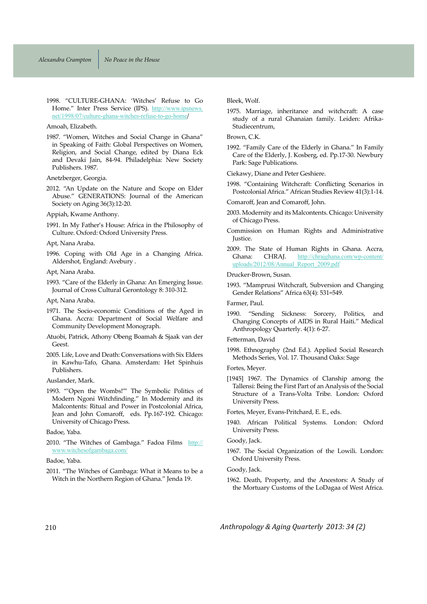1998. "CULTURE-GHANA: 'Witches' Refuse to Go Home." Inter Press Service (IPS). http://www.ipsnews. net/1998/07/culture-ghana-witches-refuse-to-go-home/

Amoah, Elizabeth.

1987. "Women, Witches and Social Change in Ghana" in Speaking of Faith: Global Perspectives on Women, Religion, and Social Change, edited by Diana Eck and Devaki Jain, 84-94. Philadelphia: New Society Publishers. 1987.

Anetzberger, Georgia.

2012. "An Update on the Nature and Scope on Elder Abuse." GENERATIONS: Journal of the American Society on Aging 36(3):12-20.

Appiah, Kwame Anthony.

1991. In My Father's House: Africa in the Philosophy of Culture. Oxford: Oxford University Press.

Apt, Nana Araba.

1996. Coping with Old Age in a Changing Africa. Aldershot, England: Avebury.

Apt, Nana Araba.

Apt, Nana Araba.

- 1971. The Socio-economic Conditions of the Aged in Ghana. Accra: Department of Social Welfare and Community Development Monograph.
- Atuobi, Patrick, Athony Obeng Boamah & Sjaak van der Geest.
- 2005. Life, Love and Death: Conversations with Six Elders in Kawhu-Tafo, Ghana. Amsterdam: Het Spinhuis Publishers.

Auslander, Mark.

1993. "'Open the Wombs!'" The Symbolic Politics of Modern Ngoni Witchfinding." In Modernity and its Malcontents: Ritual and Power in Postcolonial Africa, Jean and John Comaroff, eds. Pp.167-192. Chicago: University of Chicago Press.

Badoe, Yaba.

2010. "The Witches of Gambaga." Fadoa Films http:// www.witchesofgambaga.com/

#### Badoe, Yaba.

2011. "The Witches of Gambaga: What it Means to be a Witch in the Northern Region of Ghana." Jenda 19.

Bleek, Wolf.

1975. Marriage, inheritance and witchcraft: A case study of a rural Ghanaian family. Leiden: Afrika-Studiecentrum,

Brown, C.K.

1992. "Family Care of the Elderly in Ghana." In Family Care of the Elderly, J. Kosberg, ed. Pp.17-30. Newbury Park: Sage Publications.

Ciekawy, Diane and Peter Geshiere.

1998. "Containing Witchcraft: Conflicting Scenarios in Postcolonial Africa." African Studies Review 41(3):1-14.

Comaroff, Jean and Comaroff, John.

- 2003. Modernity and its Malcontents. Chicago: University of Chicago Press.
- Commission on Human Rights and Administrative Justice.
- 2009. The State of Human Rights in Ghana. Accra, Ghana: CHRAJ. http://chrajghana.com/wp-content/ uploads/2012/08/Annual\_Report\_2009.pdf

Drucker-Brown, Susan.

1993. "Mamprusi Witchcraft, Subversion and Changing Gender Relations" Africa 63(4): 531=549.

Farmer, Paul.

1990. "Sending Sickness: Sorcery, Politics, and Changing Concepts of AIDS in Rural Haiti." Medical Anthropology Quarterly. 4(1): 6-27.

#### Fetterman, David

1998. Ethnography (2nd Ed.). Applied Social Research Methods Series, Vol. 17. Thousand Oaks: Sage

Fortes, Meyer.

[1945] 1967. The Dynamics of Clanship among the Tallensi: Being the First Part of an Analysis of the Social Structure of a Trans-Volta Tribe. London: Oxford University Press.

Fortes, Meyer, Evans-Pritchard, E. E., eds.

1940. African Political Systems. London: Oxford University Press.

### Goody, Jack.

1967. The Social Organization of the Lowili. London: Oxford University Press.

Goody, Jack.

1962. Death, Property, and the Ancestors: A Study of the Mortuary Customs of the LoDagaa of West Africa.

<sup>1993. &</sup>quot;Care of the Elderly in Ghana: An Emerging Issue. Journal of Cross Cultural Gerontology 8: 310-312.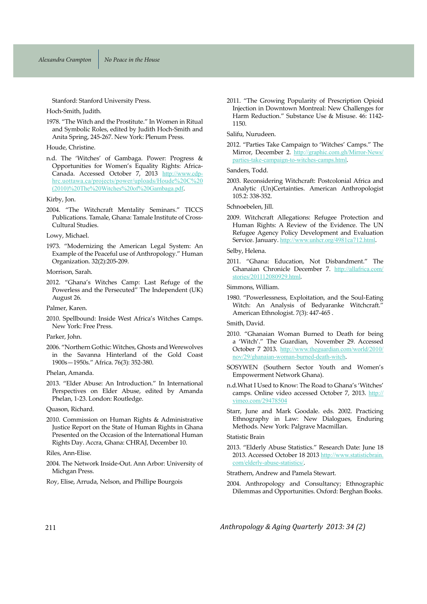Stanford: Stanford University Press.

Hoch-Smith, Judith.

1978. "The Witch and the Prostitute." In Women in Ritual and Symbolic Roles, edited by Judith Hoch-Smith and Anita Spring, 245-267. New York: Plenum Press.

Houde, Christine.

n.d. The 'Witches' of Gambaga. Power: Progress & Opportunities for Women's Equality Rights: Africa-Canada. Accessed October 7, 2013 http://www.cdphrc.uottawa.ca/projects/power/uploads/Houde%20C%20 (2010)%20The%20Witches%20of%20Gambaga.pdf.

Kirby, Jon.

2004. "The Witchcraft Mentality Seminars." TICCS Publications. Tamale, Ghana: Tamale Institute of Cross-Cultural Studies.

#### Lowy, Michael.

1973. "Modernizing the American Legal System: An Example of the Peaceful use of Anthropology." Human Organization. 32(2):205-209.

Morrison, Sarah.

2012. "Ghana's Witches Camp: Last Refuge of the Powerless and the Persecuted" The Independent (UK) August 26.

Palmer, Karen.

2010. Spellbound: Inside West Africa's Witches Camps. New York: Free Press.

Parker, John.

2006. "Northern Gothic: Witches, Ghosts and Werewolves in the Savanna Hinterland of the Gold Coast 1900s - 1950s." Africa. 76(3): 352-380.

#### Phelan, Amanda.

2013. "Elder Abuse: An Introduction." In International Perspectives on Elder Abuse, edited by Amanda Phelan, 1-23. London: Routledge.

Quason, Richard.

2010. Commission on Human Rights & Administrative Justice Report on the State of Human Rights in Ghana Presented on the Occasion of the International Human Rights Day. Accra, Ghana: CHRAJ, December 10.

Riles, Ann-Elise.

2004. The Network Inside-Out. Ann Arbor: University of Michgan Press.

Roy, Elise, Arruda, Nelson, and Phillipe Bourgois

2011. "The Growing Popularity of Prescription Opioid Injection in Downtown Montreal: New Challenges for Harm Reduction." Substance Use & Misuse. 46: 1142-1150.

Salifu, Nurudeen.

2012. "Parties Take Campaign to 'Witches' Camps." The Mirror, December 2. http://graphic.com.gh/Mirror-News/ parties-take-campaign-to-witches-camps.html.

Sanders, Todd.

2003. Reconsidering Witchcraft: Postcolonial Africa and Analytic (Un)Certainties. American Anthropologist 105.2: 338-352.

Schnoebelen, Jill.

2009. Witchcraft Allegations: Refugee Protection and Human Rights: A Review of the Evidence. The UN Refugee Agency Policy Development and Evaluation Service. January. http://www.unhcr.org/4981ca712.html.

Selby, Helena.

2011. "Ghana: Education, Not Disbandment." The Ghanaian Chronicle December 7. http://allafrica.com/ stories/201112080929.html.

Simmons, William.

1980. "Powerlessness, Exploitation, and the Soul-Eating Witch: An Analysis of Bedyaranke Witchcraft.' American Ethnologist. 7(3): 447-465.

Smith, David.

- 2010. "Ghanaian Woman Burned to Death for being a 'Witch'." The Guardian, November 29. Accessed October 7 2013. http://www.theguardian.com/world/2010/ nov/29/ghanaian-woman-burned-death-witch.
- SOSYWEN (Southern Sector Youth and Women's Empowerment Network Ghana).
- n.d. What I Used to Know: The Road to Ghana's 'Witches' camps. Online video accessed October 7, 2013. http:// vimeo.com/29478504
- Starr, June and Mark Goodale. eds. 2002. Practicing Ethnography in Law: New Dialogues, Enduring Methods. New York: Palgrave Macmillan.

#### Statistic Brain

2013. "Elderly Abuse Statistics." Research Date: June 18 2013. Accessed October 18 2013 http://www.statisticbrain. com/elderly-abuse-statistics/.

Strathern, Andrew and Pamela Stewart.

2004. Anthropology and Consultancy; Ethnographic Dilemmas and Opportunities. Oxford: Berghan Books.